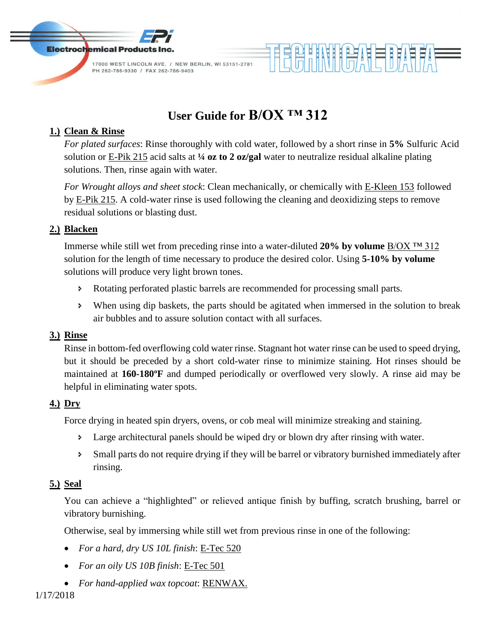

# **User Guide for B/OX ™ 312**

## **1.) Clean & Rinse**

*For plated surfaces*: Rinse thoroughly with cold water, followed by a short rinse in **5%** Sulfuric Acid solution or E-Pik 215 acid salts at **¼ oz to 2 oz/gal** water to neutralize residual alkaline plating solutions. Then, rinse again with water.

HHNHHAHEBARF

*For Wrought alloys and sheet stock*: Clean mechanically, or chemically with E-Kleen 153 followed by E-Pik 215. A cold-water rinse is used following the cleaning and deoxidizing steps to remove residual solutions or blasting dust.

### **2.) Blacken**

Immerse while still wet from preceding rinse into a water-diluted **20% by volume** B/OX ™ 312 solution for the length of time necessary to produce the desired color. Using **5-10% by volume** solutions will produce very light brown tones.

- Rotating perforated plastic barrels are recommended for processing small parts.
- When using dip baskets, the parts should be agitated when immersed in the solution to break air bubbles and to assure solution contact with all surfaces.

#### **3.) Rinse**

Rinse in bottom-fed overflowing cold water rinse. Stagnant hot water rinse can be used to speed drying, but it should be preceded by a short cold-water rinse to minimize staining. Hot rinses should be maintained at **160-180ºF** and dumped periodically or overflowed very slowly. A rinse aid may be helpful in eliminating water spots.

#### **4.) Dry**

Force drying in heated spin dryers, ovens, or cob meal will minimize streaking and staining.

- **Example 2** Large architectural panels should be wiped dry or blown dry after rinsing with water.
- Small parts do not require drying if they will be barrel or vibratory burnished immediately after rinsing.

## **5.) Seal**

You can achieve a "highlighted" or relieved antique finish by buffing, scratch brushing, barrel or vibratory burnishing.

Otherwise, seal by immersing while still wet from previous rinse in one of the following:

- *For a hard, dry US 10L finish*: E-Tec 520
- *For an oily US 10B finish*: E-Tec 501
- *For hand-applied wax topcoat*: RENWAX.